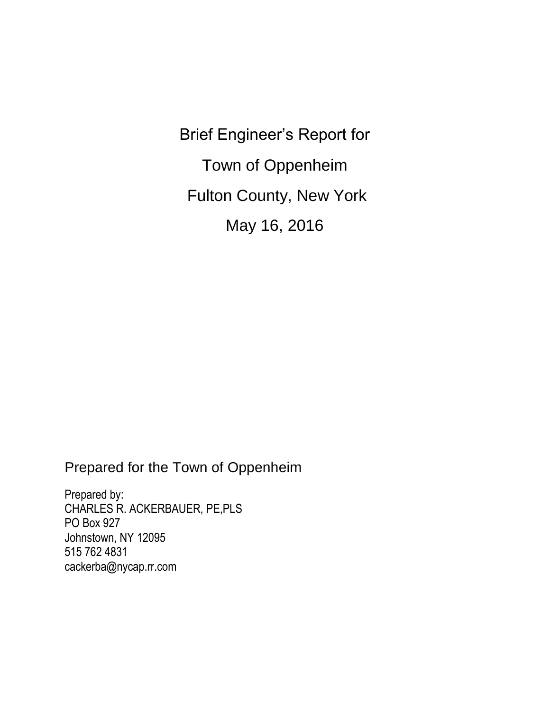Brief Engineer's Report for Town of Oppenheim Fulton County, New York May 16, 2016

Prepared for the Town of Oppenheim

Prepared by: CHARLES R. ACKERBAUER, PE,PLS PO Box 927 Johnstown, NY 12095 515 762 4831 cackerba@nycap.rr.com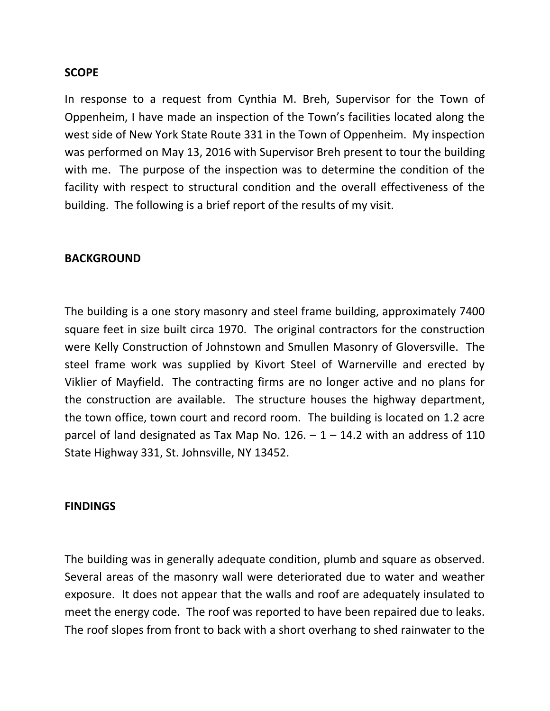## **SCOPE**

In response to a request from Cynthia M. Breh, Supervisor for the Town of Oppenheim, I have made an inspection of the Town's facilities located along the west side of New York State Route 331 in the Town of Oppenheim. My inspection was performed on May 13, 2016 with Supervisor Breh present to tour the building with me. The purpose of the inspection was to determine the condition of the facility with respect to structural condition and the overall effectiveness of the building. The following is a brief report of the results of my visit.

## **BACKGROUND**

The building is a one story masonry and steel frame building, approximately 7400 square feet in size built circa 1970. The original contractors for the construction were Kelly Construction of Johnstown and Smullen Masonry of Gloversville. The steel frame work was supplied by Kivort Steel of Warnerville and erected by Viklier of Mayfield. The contracting firms are no longer active and no plans for the construction are available. The structure houses the highway department, the town office, town court and record room. The building is located on 1.2 acre parcel of land designated as Tax Map No.  $126. - 1 - 14.2$  with an address of 110 State Highway 331, St. Johnsville, NY 13452.

## **FINDINGS**

The building was in generally adequate condition, plumb and square as observed. Several areas of the masonry wall were deteriorated due to water and weather exposure. It does not appear that the walls and roof are adequately insulated to meet the energy code. The roof was reported to have been repaired due to leaks. The roof slopes from front to back with a short overhang to shed rainwater to the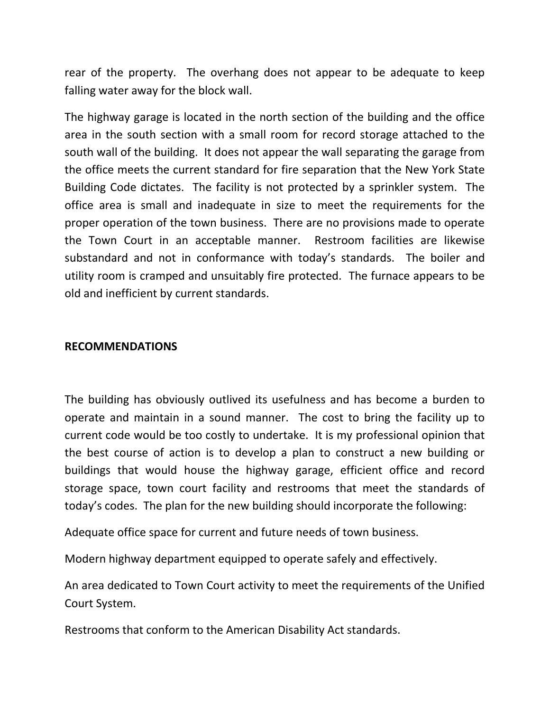rear of the property. The overhang does not appear to be adequate to keep falling water away for the block wall.

The highway garage is located in the north section of the building and the office area in the south section with a small room for record storage attached to the south wall of the building. It does not appear the wall separating the garage from the office meets the current standard for fire separation that the New York State Building Code dictates. The facility is not protected by a sprinkler system. The office area is small and inadequate in size to meet the requirements for the proper operation of the town business. There are no provisions made to operate the Town Court in an acceptable manner. Restroom facilities are likewise substandard and not in conformance with today's standards. The boiler and utility room is cramped and unsuitably fire protected. The furnace appears to be old and inefficient by current standards.

## **RECOMMENDATIONS**

The building has obviously outlived its usefulness and has become a burden to operate and maintain in a sound manner. The cost to bring the facility up to current code would be too costly to undertake. It is my professional opinion that the best course of action is to develop a plan to construct a new building or buildings that would house the highway garage, efficient office and record storage space, town court facility and restrooms that meet the standards of today's codes. The plan for the new building should incorporate the following:

Adequate office space for current and future needs of town business.

Modern highway department equipped to operate safely and effectively.

An area dedicated to Town Court activity to meet the requirements of the Unified Court System.

Restrooms that conform to the American Disability Act standards.